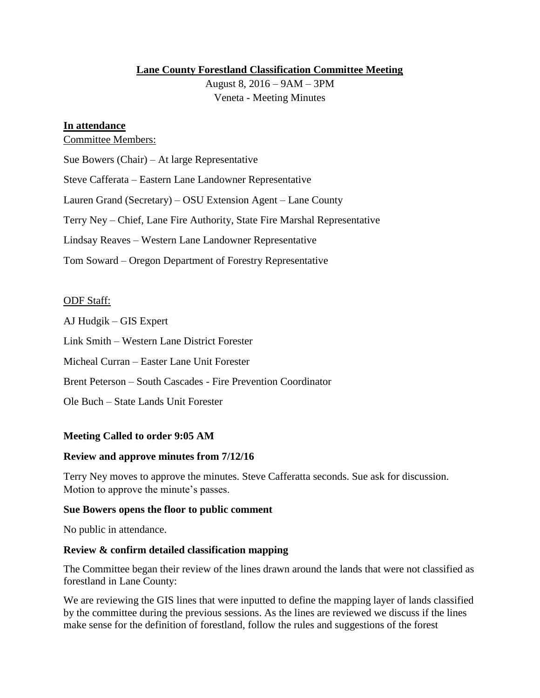## **Lane County Forestland Classification Committee Meeting**

August 8, 2016 – 9AM – 3PM Veneta - Meeting Minutes

## **In attendance**

Committee Members:

Sue Bowers (Chair) – At large Representative

Steve Cafferata – Eastern Lane Landowner Representative

Lauren Grand (Secretary) – OSU Extension Agent – Lane County

Terry Ney – Chief, Lane Fire Authority, State Fire Marshal Representative

Lindsay Reaves – Western Lane Landowner Representative

Tom Soward – Oregon Department of Forestry Representative

## ODF Staff:

AJ Hudgik – GIS Expert

Link Smith – Western Lane District Forester

Micheal Curran – Easter Lane Unit Forester

Brent Peterson – South Cascades - Fire Prevention Coordinator

Ole Buch – State Lands Unit Forester

## **Meeting Called to order 9:05 AM**

### **Review and approve minutes from 7/12/16**

Terry Ney moves to approve the minutes. Steve Cafferatta seconds. Sue ask for discussion. Motion to approve the minute's passes.

### **Sue Bowers opens the floor to public comment**

No public in attendance.

# **Review & confirm detailed classification mapping**

The Committee began their review of the lines drawn around the lands that were not classified as forestland in Lane County:

We are reviewing the GIS lines that were inputted to define the mapping layer of lands classified by the committee during the previous sessions. As the lines are reviewed we discuss if the lines make sense for the definition of forestland, follow the rules and suggestions of the forest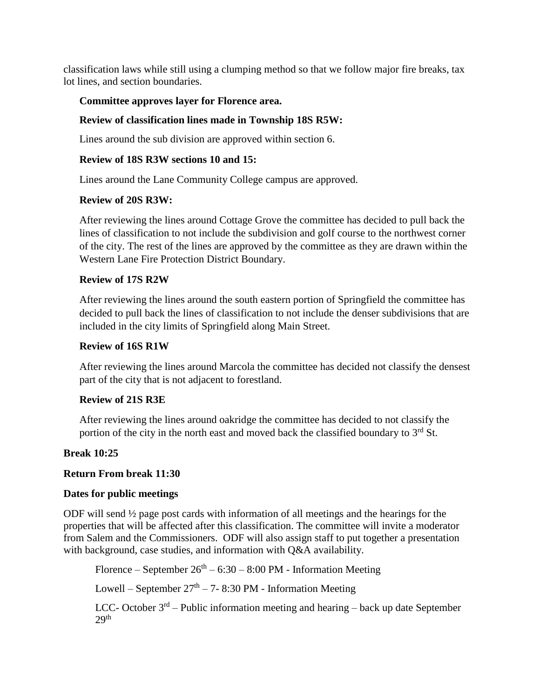classification laws while still using a clumping method so that we follow major fire breaks, tax lot lines, and section boundaries.

# **Committee approves layer for Florence area.**

# **Review of classification lines made in Township 18S R5W:**

Lines around the sub division are approved within section 6.

## **Review of 18S R3W sections 10 and 15:**

Lines around the Lane Community College campus are approved.

## **Review of 20S R3W:**

After reviewing the lines around Cottage Grove the committee has decided to pull back the lines of classification to not include the subdivision and golf course to the northwest corner of the city. The rest of the lines are approved by the committee as they are drawn within the Western Lane Fire Protection District Boundary.

## **Review of 17S R2W**

After reviewing the lines around the south eastern portion of Springfield the committee has decided to pull back the lines of classification to not include the denser subdivisions that are included in the city limits of Springfield along Main Street.

## **Review of 16S R1W**

After reviewing the lines around Marcola the committee has decided not classify the densest part of the city that is not adjacent to forestland.

## **Review of 21S R3E**

After reviewing the lines around oakridge the committee has decided to not classify the portion of the city in the north east and moved back the classified boundary to  $3<sup>rd</sup>$  St.

## **Break 10:25**

## **Return From break 11:30**

### **Dates for public meetings**

ODF will send ½ page post cards with information of all meetings and the hearings for the properties that will be affected after this classification. The committee will invite a moderator from Salem and the Commissioners. ODF will also assign staff to put together a presentation with background, case studies, and information with Q&A availability.

Florence – September  $26<sup>th</sup>$  – 6:30 – 8:00 PM - Information Meeting

Lowell – September  $27<sup>th</sup>$  – 7- 8:30 PM - Information Meeting

LCC- October  $3<sup>rd</sup>$  – Public information meeting and hearing – back up date September  $29<sup>th</sup>$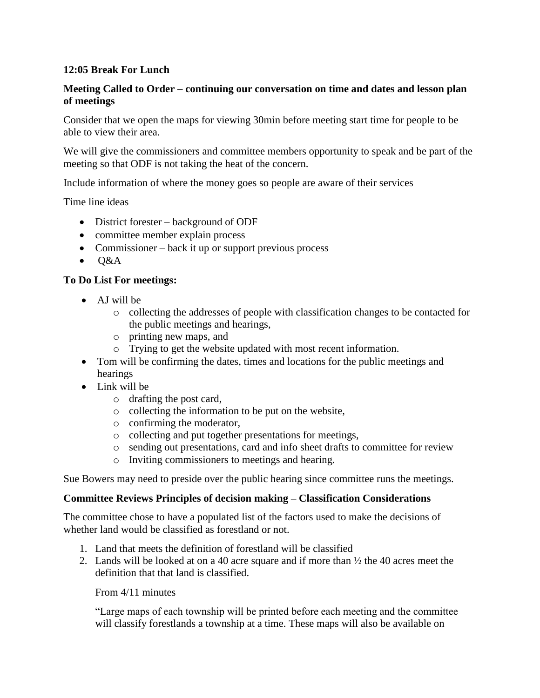## **12:05 Break For Lunch**

## **Meeting Called to Order – continuing our conversation on time and dates and lesson plan of meetings**

Consider that we open the maps for viewing 30min before meeting start time for people to be able to view their area.

We will give the commissioners and committee members opportunity to speak and be part of the meeting so that ODF is not taking the heat of the concern.

Include information of where the money goes so people are aware of their services

Time line ideas

- District forester background of ODF
- committee member explain process
- Commissioner back it up or support previous process
- $\bullet$  O&A

## **To Do List For meetings:**

- AJ will be
	- o collecting the addresses of people with classification changes to be contacted for the public meetings and hearings,
	- o printing new maps, and
	- o Trying to get the website updated with most recent information.
- Tom will be confirming the dates, times and locations for the public meetings and hearings
- Link will be
	- o drafting the post card,
	- o collecting the information to be put on the website,
	- o confirming the moderator,
	- o collecting and put together presentations for meetings,
	- o sending out presentations, card and info sheet drafts to committee for review
	- o Inviting commissioners to meetings and hearing.

Sue Bowers may need to preside over the public hearing since committee runs the meetings.

### **Committee Reviews Principles of decision making – Classification Considerations**

The committee chose to have a populated list of the factors used to make the decisions of whether land would be classified as forestland or not.

- 1. Land that meets the definition of forestland will be classified
- 2. Lands will be looked at on a 40 acre square and if more than  $\frac{1}{2}$  the 40 acres meet the definition that that land is classified.

From 4/11 minutes

"Large maps of each township will be printed before each meeting and the committee will classify forestlands a township at a time. These maps will also be available on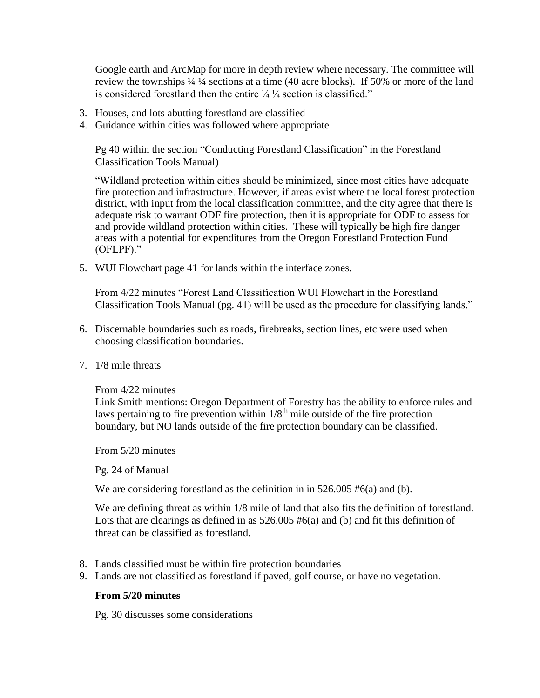Google earth and ArcMap for more in depth review where necessary. The committee will review the townships ¼ ¼ sections at a time (40 acre blocks). If 50% or more of the land is considered forestland then the entire  $\frac{1}{4}$   $\frac{1}{4}$  section is classified."

- 3. Houses, and lots abutting forestland are classified
- 4. Guidance within cities was followed where appropriate –

Pg 40 within the section "Conducting Forestland Classification" in the Forestland Classification Tools Manual)

"Wildland protection within cities should be minimized, since most cities have adequate fire protection and infrastructure. However, if areas exist where the local forest protection district, with input from the local classification committee, and the city agree that there is adequate risk to warrant ODF fire protection, then it is appropriate for ODF to assess for and provide wildland protection within cities. These will typically be high fire danger areas with a potential for expenditures from the Oregon Forestland Protection Fund (OFLPF)."

5. WUI Flowchart page 41 for lands within the interface zones.

From 4/22 minutes "Forest Land Classification WUI Flowchart in the Forestland Classification Tools Manual (pg. 41) will be used as the procedure for classifying lands."

- 6. Discernable boundaries such as roads, firebreaks, section lines, etc were used when choosing classification boundaries.
- 7. 1/8 mile threats –

### From 4/22 minutes

Link Smith mentions: Oregon Department of Forestry has the ability to enforce rules and laws pertaining to fire prevention within  $1/8<sup>th</sup>$  mile outside of the fire protection boundary, but NO lands outside of the fire protection boundary can be classified.

From 5/20 minutes

Pg. 24 of Manual

We are considering forestland as the definition in in 526.005 #6(a) and (b).

We are defining threat as within 1/8 mile of land that also fits the definition of forestland. Lots that are clearings as defined in as 526.005 #6(a) and (b) and fit this definition of threat can be classified as forestland.

- 8. Lands classified must be within fire protection boundaries
- 9. Lands are not classified as forestland if paved, golf course, or have no vegetation.

### **From 5/20 minutes**

Pg. 30 discusses some considerations